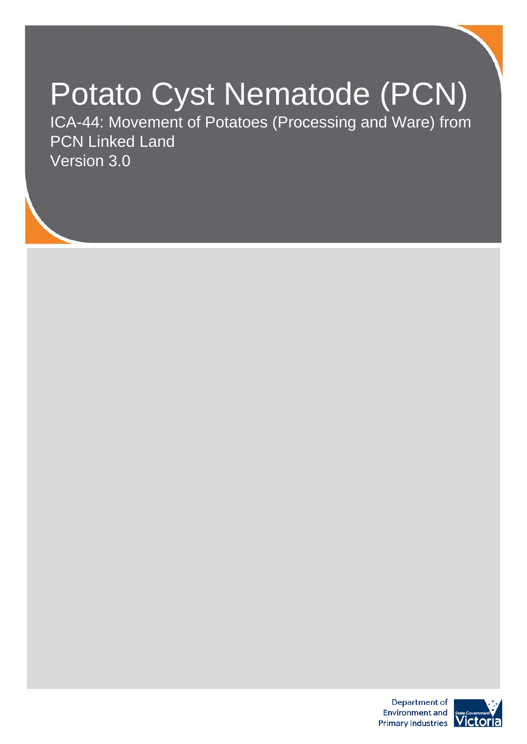# Potato Cyst Nematode (PCN)

ICA-44: Movement of Potatoes (Processing and Ware) from PCN Linked Land Version 3.0



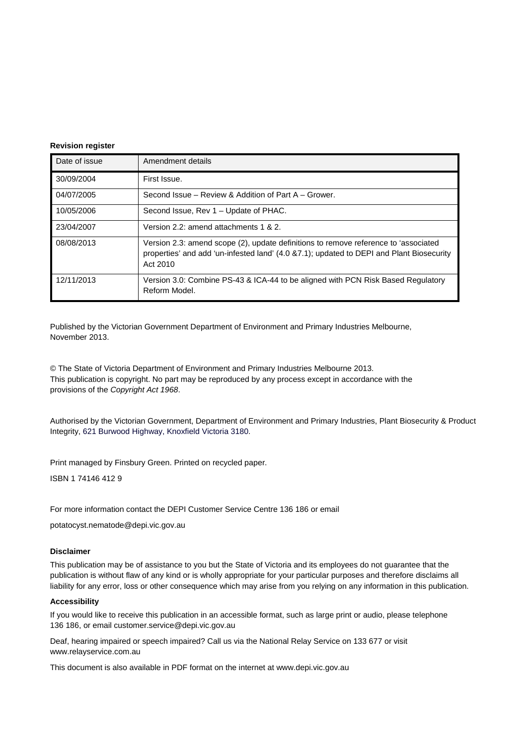#### **Revision register**

| Date of issue | Amendment details                                                                                                                                                                           |
|---------------|---------------------------------------------------------------------------------------------------------------------------------------------------------------------------------------------|
| 30/09/2004    | First Issue.                                                                                                                                                                                |
| 04/07/2005    | Second Issue – Review & Addition of Part A – Grower.                                                                                                                                        |
| 10/05/2006    | Second Issue, Rev 1 - Update of PHAC.                                                                                                                                                       |
| 23/04/2007    | Version 2.2: amend attachments 1 & 2.                                                                                                                                                       |
| 08/08/2013    | Version 2.3: amend scope (2), update definitions to remove reference to 'associated<br>properties' and add 'un-infested land' (4.0 &7.1); updated to DEPI and Plant Biosecurity<br>Act 2010 |
| 12/11/2013    | Version 3.0: Combine PS-43 & ICA-44 to be aligned with PCN Risk Based Regulatory<br>Reform Model.                                                                                           |

Published by the Victorian Government Department of Environment and Primary Industries Melbourne, November 2013.

© The State of Victoria Department of Environment and Primary Industries Melbourne 2013. This publication is copyright. No part may be reproduced by any process except in accordance with the provisions of the *Copyright Act 1968*.

Authorised by the Victorian Government, Department of Environment and Primary Industries, Plant Biosecurity & Product Integrity, 621 Burwood Highway, Knoxfield Victoria 3180.

Print managed by Finsbury Green. Printed on recycled paper.

ISBN 1 74146 412 9

For more information contact the DEPI Customer Service Centre 136 186 or email

potatocyst.nematode@depi.vic.gov.au

#### **Disclaimer**

This publication may be of assistance to you but the State of Victoria and its employees do not guarantee that the publication is without flaw of any kind or is wholly appropriate for your particular purposes and therefore disclaims all liability for any error, loss or other consequence which may arise from you relying on any information in this publication.

#### **Accessibility**

If you would like to receive this publication in an accessible format, such as large print or audio, please telephone 136 186, or email customer.service@depi.vic.gov.au

Deaf, hearing impaired or speech impaired? Call us via the National Relay Service on 133 677 or visit www.relayservice.com.au

This document is also available in PDF format on the internet at www.depi.vic.gov.au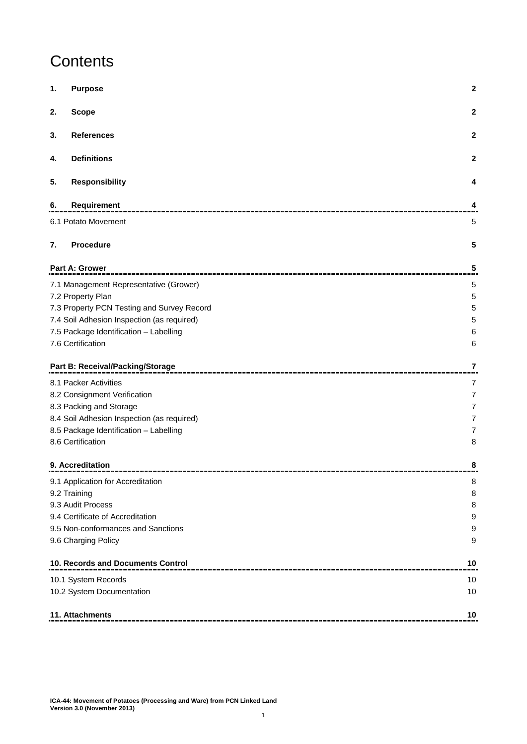# **Contents**

| 1. | <b>Purpose</b>                             | $\mathbf 2$  |
|----|--------------------------------------------|--------------|
| 2. | <b>Scope</b>                               | $\mathbf 2$  |
| 3. | <b>References</b>                          | $\mathbf{2}$ |
| 4. | <b>Definitions</b>                         | $\mathbf 2$  |
| 5. | <b>Responsibility</b>                      | 4            |
| 6. | Requirement                                | 4            |
|    | 6.1 Potato Movement                        | 5            |
| 7. | <b>Procedure</b>                           | 5            |
|    | <b>Part A: Grower</b>                      | 5            |
|    | 7.1 Management Representative (Grower)     | 5            |
|    | 7.2 Property Plan                          | 5            |
|    | 7.3 Property PCN Testing and Survey Record | 5            |
|    | 7.4 Soil Adhesion Inspection (as required) | 5            |
|    | 7.5 Package Identification - Labelling     | 6            |
|    | 7.6 Certification                          | 6            |
|    | Part B: Receival/Packing/Storage           | 7            |
|    | 8.1 Packer Activities                      | 7            |
|    | 8.2 Consignment Verification               | 7            |
|    | 8.3 Packing and Storage                    | 7            |
|    | 8.4 Soil Adhesion Inspection (as required) | 7            |
|    | 8.5 Package Identification - Labelling     | 7            |
|    | 8.6 Certification                          | 8            |
|    | 9. Accreditation                           | 8            |
|    | 9.1 Application for Accreditation          | 8            |
|    | 9.2 Training                               | 8            |
|    | 9.3 Audit Process                          | 8            |
|    | 9.4 Certificate of Accreditation           | 9            |
|    | 9.5 Non-conformances and Sanctions         | 9            |
|    | 9.6 Charging Policy                        | 9            |
|    | 10. Records and Documents Control          | 10           |
|    | 10.1 System Records                        | 10           |
|    | 10.2 System Documentation                  | 10           |
|    | 11. Attachments                            | 10           |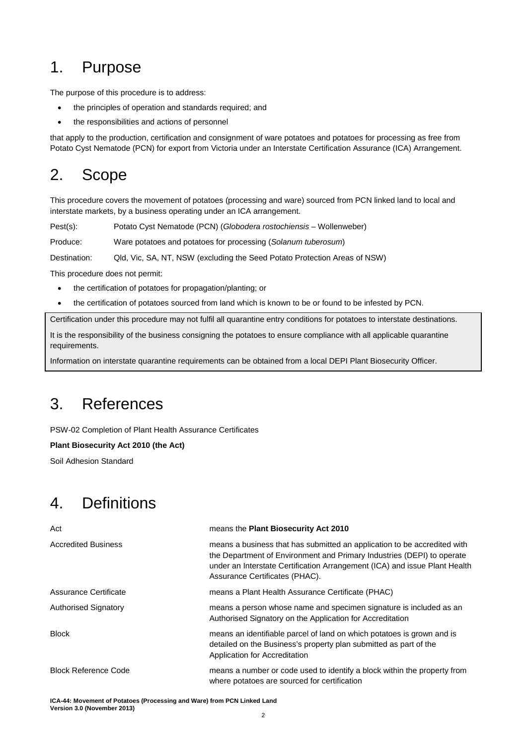# <span id="page-3-0"></span>1. Purpose

The purpose of this procedure is to address:

- the principles of operation and standards required; and
- the responsibilities and actions of personnel

that apply to the production, certification and consignment of ware potatoes and potatoes for processing as free from Potato Cyst Nematode (PCN) for export from Victoria under an Interstate Certification Assurance (ICA) Arrangement.

# <span id="page-3-1"></span>2. Scope

This procedure covers the movement of potatoes (processing and ware) sourced from PCN linked land to local and interstate markets, by a business operating under an ICA arrangement.

Pest(s): Potato Cyst Nematode (PCN) (*Globodera rostochiensis* – Wollenweber)

Produce: Ware potatoes and potatoes for processing (*Solanum tuberosum*)

Destination: Qld, Vic, SA, NT, NSW (excluding the Seed Potato Protection Areas of NSW)

This procedure does not permit:

- the certification of potatoes for propagation/planting; or
- the certification of potatoes sourced from land which is known to be or found to be infested by PCN.

Certification under this procedure may not fulfil all quarantine entry conditions for potatoes to interstate destinations.

It is the responsibility of the business consigning the potatoes to ensure compliance with all applicable quarantine requirements.

Information on interstate quarantine requirements can be obtained from a local DEPI Plant Biosecurity Officer.

# <span id="page-3-2"></span>3. References

PSW-02 Completion of Plant Health Assurance Certificates

**Plant Biosecurity Act 2010 (the Act)**

Soil Adhesion Standard

# <span id="page-3-3"></span>4. Definitions

| Act                         | means the Plant Biosecurity Act 2010                                                                                                                                                                                                                               |
|-----------------------------|--------------------------------------------------------------------------------------------------------------------------------------------------------------------------------------------------------------------------------------------------------------------|
| <b>Accredited Business</b>  | means a business that has submitted an application to be accredited with<br>the Department of Environment and Primary Industries (DEPI) to operate<br>under an Interstate Certification Arrangement (ICA) and issue Plant Health<br>Assurance Certificates (PHAC). |
| Assurance Certificate       | means a Plant Health Assurance Certificate (PHAC)                                                                                                                                                                                                                  |
| Authorised Signatory        | means a person whose name and specimen signature is included as an<br>Authorised Signatory on the Application for Accreditation                                                                                                                                    |
| <b>Block</b>                | means an identifiable parcel of land on which potatoes is grown and is<br>detailed on the Business's property plan submitted as part of the<br>Application for Accreditation                                                                                       |
| <b>Block Reference Code</b> | means a number or code used to identify a block within the property from<br>where potatoes are sourced for certification                                                                                                                                           |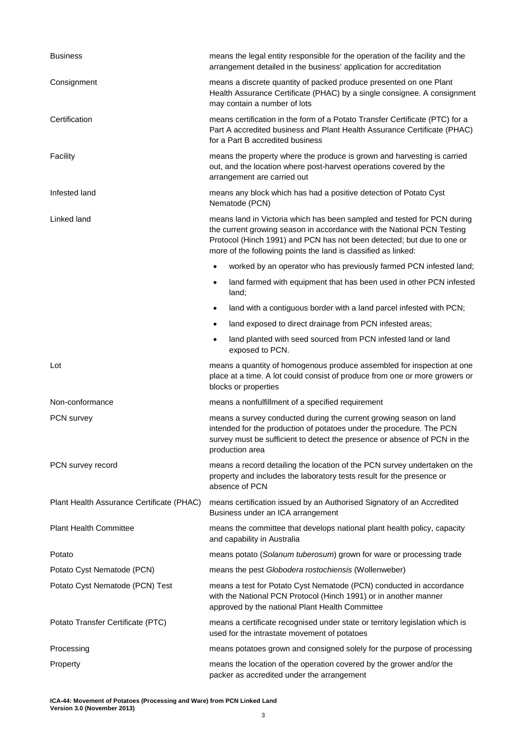| <b>Business</b>                           | means the legal entity responsible for the operation of the facility and the<br>arrangement detailed in the business' application for accreditation                                                                                                                                           |
|-------------------------------------------|-----------------------------------------------------------------------------------------------------------------------------------------------------------------------------------------------------------------------------------------------------------------------------------------------|
| Consignment                               | means a discrete quantity of packed produce presented on one Plant<br>Health Assurance Certificate (PHAC) by a single consignee. A consignment<br>may contain a number of lots                                                                                                                |
| Certification                             | means certification in the form of a Potato Transfer Certificate (PTC) for a<br>Part A accredited business and Plant Health Assurance Certificate (PHAC)<br>for a Part B accredited business                                                                                                  |
| Facility                                  | means the property where the produce is grown and harvesting is carried<br>out, and the location where post-harvest operations covered by the<br>arrangement are carried out                                                                                                                  |
| Infested land                             | means any block which has had a positive detection of Potato Cyst<br>Nematode (PCN)                                                                                                                                                                                                           |
| Linked land                               | means land in Victoria which has been sampled and tested for PCN during<br>the current growing season in accordance with the National PCN Testing<br>Protocol (Hinch 1991) and PCN has not been detected; but due to one or<br>more of the following points the land is classified as linked: |
|                                           | worked by an operator who has previously farmed PCN infested land;                                                                                                                                                                                                                            |
|                                           | land farmed with equipment that has been used in other PCN infested<br>$\bullet$<br>land;                                                                                                                                                                                                     |
|                                           | land with a contiguous border with a land parcel infested with PCN;<br>$\bullet$                                                                                                                                                                                                              |
|                                           | land exposed to direct drainage from PCN infested areas;<br>$\bullet$                                                                                                                                                                                                                         |
|                                           | land planted with seed sourced from PCN infested land or land<br>٠<br>exposed to PCN.                                                                                                                                                                                                         |
| Lot                                       | means a quantity of homogenous produce assembled for inspection at one<br>place at a time. A lot could consist of produce from one or more growers or<br>blocks or properties                                                                                                                 |
| Non-conformance                           | means a nonfulfillment of a specified requirement                                                                                                                                                                                                                                             |
| PCN survey                                | means a survey conducted during the current growing season on land<br>intended for the production of potatoes under the procedure. The PCN<br>survey must be sufficient to detect the presence or absence of PCN in the<br>production area                                                    |
| PCN survey record                         | means a record detailing the location of the PCN survey undertaken on the<br>property and includes the laboratory tests result for the presence or<br>absence of PCN                                                                                                                          |
| Plant Health Assurance Certificate (PHAC) | means certification issued by an Authorised Signatory of an Accredited<br>Business under an ICA arrangement                                                                                                                                                                                   |
| <b>Plant Health Committee</b>             | means the committee that develops national plant health policy, capacity<br>and capability in Australia                                                                                                                                                                                       |
| Potato                                    | means potato (Solanum tuberosum) grown for ware or processing trade                                                                                                                                                                                                                           |
| Potato Cyst Nematode (PCN)                | means the pest Globodera rostochiensis (Wollenweber)                                                                                                                                                                                                                                          |
| Potato Cyst Nematode (PCN) Test           | means a test for Potato Cyst Nematode (PCN) conducted in accordance<br>with the National PCN Protocol (Hinch 1991) or in another manner<br>approved by the national Plant Health Committee                                                                                                    |
| Potato Transfer Certificate (PTC)         | means a certificate recognised under state or territory legislation which is<br>used for the intrastate movement of potatoes                                                                                                                                                                  |
| Processing                                | means potatoes grown and consigned solely for the purpose of processing                                                                                                                                                                                                                       |
| Property                                  | means the location of the operation covered by the grower and/or the<br>packer as accredited under the arrangement                                                                                                                                                                            |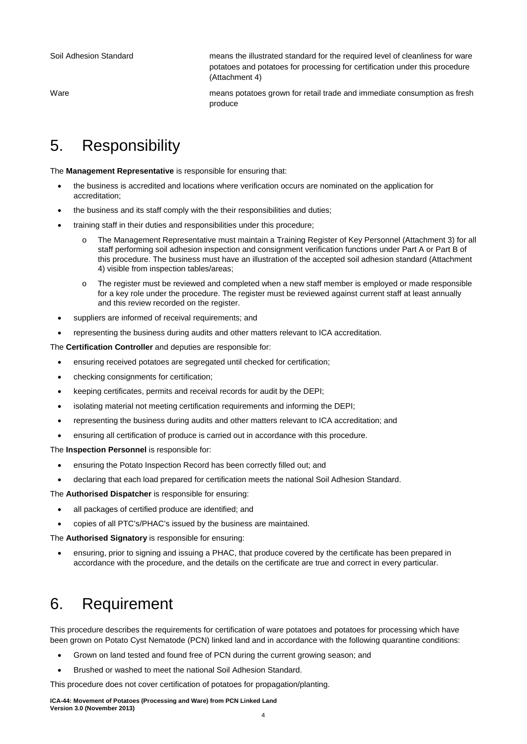Soil Adhesion Standard means the illustrated standard for the required level of cleanliness for ware potatoes and potatoes for processing for certification under this procedure (Attachment 4)

Ware **means potatoes grown for retail trade and immediate consumption as fresh** produce

# <span id="page-5-0"></span>5. Responsibility

The **Management Representative** is responsible for ensuring that:

- the business is accredited and locations where verification occurs are nominated on the application for accreditation;
- the business and its staff comply with the their responsibilities and duties;
- training staff in their duties and responsibilities under this procedure;
	- o The Management Representative must maintain a Training Register of Key Personnel (Attachment 3) for all staff performing soil adhesion inspection and consignment verification functions under Part A or Part B of this procedure. The business must have an illustration of the accepted soil adhesion standard (Attachment 4) visible from inspection tables/areas;
	- o The register must be reviewed and completed when a new staff member is employed or made responsible for a key role under the procedure. The register must be reviewed against current staff at least annually and this review recorded on the register.
- suppliers are informed of receival requirements; and
- representing the business during audits and other matters relevant to ICA accreditation.

The **Certification Controller** and deputies are responsible for:

- ensuring received potatoes are segregated until checked for certification;
- checking consignments for certification;
- keeping certificates, permits and receival records for audit by the DEPI;
- isolating material not meeting certification requirements and informing the DEPI;
- representing the business during audits and other matters relevant to ICA accreditation; and
- ensuring all certification of produce is carried out in accordance with this procedure.

The **Inspection Personnel** is responsible for:

- ensuring the Potato Inspection Record has been correctly filled out; and
- declaring that each load prepared for certification meets the national Soil Adhesion Standard.

The **Authorised Dispatcher** is responsible for ensuring:

- all packages of certified produce are identified; and
- copies of all PTC's/PHAC's issued by the business are maintained.

The **Authorised Signatory** is responsible for ensuring:

• ensuring, prior to signing and issuing a PHAC, that produce covered by the certificate has been prepared in accordance with the procedure, and the details on the certificate are true and correct in every particular.

# <span id="page-5-1"></span>6. Requirement

This procedure describes the requirements for certification of ware potatoes and potatoes for processing which have been grown on Potato Cyst Nematode (PCN) linked land and in accordance with the following quarantine conditions:

- Grown on land tested and found free of PCN during the current growing season; and
- Brushed or washed to meet the national Soil Adhesion Standard.

This procedure does not cover certification of potatoes for propagation/planting.

**ICA-44: Movement of Potatoes (Processing and Ware) from PCN Linked Land Version 3.0 (November 2013)**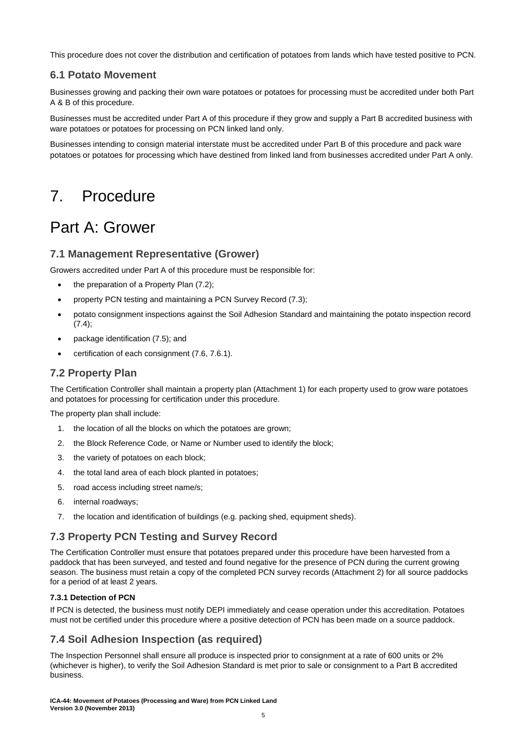This procedure does not cover the distribution and certification of potatoes from lands which have tested positive to PCN.

### <span id="page-6-0"></span>**6.1 Potato Movement**

Businesses growing and packing their own ware potatoes or potatoes for processing must be accredited under both Part A & B of this procedure.

Businesses must be accredited under Part A of this procedure if they grow and supply a Part B accredited business with ware potatoes or potatoes for processing on PCN linked land only.

Businesses intending to consign material interstate must be accredited under Part B of this procedure and pack ware potatoes or potatoes for processing which have destined from linked land from businesses accredited under Part A only.

# <span id="page-6-1"></span>7. Procedure

# <span id="page-6-2"></span>Part A: Grower

### <span id="page-6-3"></span>**7.1 Management Representative (Grower)**

Growers accredited under Part A of this procedure must be responsible for:

- the preparation of a Property Plan (7.2);
- property PCN testing and maintaining a PCN Survey Record (7.3);
- potato consignment inspections against the Soil Adhesion Standard and maintaining the potato inspection record (7.4);
- package identification (7.5); and
- certification of each consignment (7.6, 7.6.1).

### <span id="page-6-4"></span>**7.2 Property Plan**

The Certification Controller shall maintain a property plan (Attachment 1) for each property used to grow ware potatoes and potatoes for processing for certification under this procedure.

The property plan shall include:

- 1. the location of all the blocks on which the potatoes are grown;
- 2. the Block Reference Code, or Name or Number used to identify the block;
- 3. the variety of potatoes on each block;
- 4. the total land area of each block planted in potatoes;
- 5. road access including street name/s;
- 6. internal roadways;
- 7. the location and identification of buildings (e.g. packing shed, equipment sheds).

### <span id="page-6-5"></span>**7.3 Property PCN Testing and Survey Record**

The Certification Controller must ensure that potatoes prepared under this procedure have been harvested from a paddock that has been surveyed, and tested and found negative for the presence of PCN during the current growing season. The business must retain a copy of the completed PCN survey records (Attachment 2) for all source paddocks for a period of at least 2 years.

#### **7.3.1 Detection of PCN**

If PCN is detected, the business must notify DEPI immediately and cease operation under this accreditation. Potatoes must not be certified under this procedure where a positive detection of PCN has been made on a source paddock.

# <span id="page-6-6"></span>**7.4 Soil Adhesion Inspection (as required)**

The Inspection Personnel shall ensure all produce is inspected prior to consignment at a rate of 600 units or 2% (whichever is higher), to verify the Soil Adhesion Standard is met prior to sale or consignment to a Part B accredited business.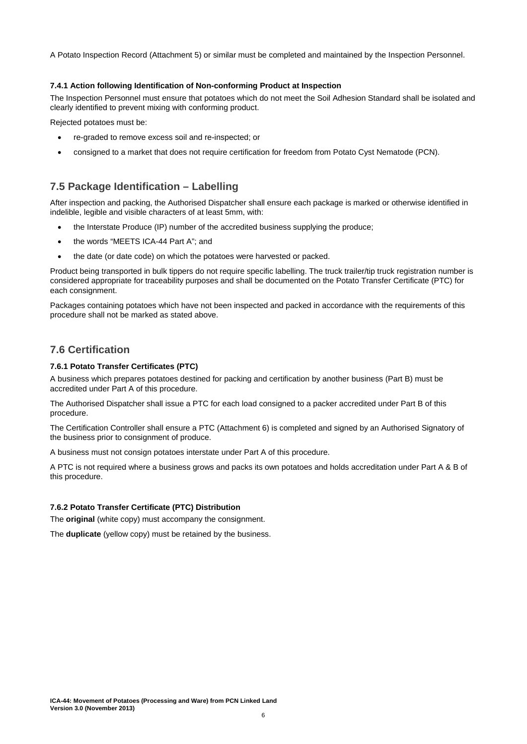A Potato Inspection Record (Attachment 5) or similar must be completed and maintained by the Inspection Personnel.

#### **7.4.1 Action following Identification of Non-conforming Product at Inspection**

The Inspection Personnel must ensure that potatoes which do not meet the Soil Adhesion Standard shall be isolated and clearly identified to prevent mixing with conforming product.

Rejected potatoes must be:

- re-graded to remove excess soil and re-inspected; or
- consigned to a market that does not require certification for freedom from Potato Cyst Nematode (PCN).

### <span id="page-7-0"></span>**7.5 Package Identification – Labelling**

After inspection and packing, the Authorised Dispatcher shall ensure each package is marked or otherwise identified in indelible, legible and visible characters of at least 5mm, with:

- the Interstate Produce (IP) number of the accredited business supplying the produce;
- the words "MEETS ICA-44 Part A"; and
- the date (or date code) on which the potatoes were harvested or packed.

Product being transported in bulk tippers do not require specific labelling. The truck trailer/tip truck registration number is considered appropriate for traceability purposes and shall be documented on the Potato Transfer Certificate (PTC) for each consignment.

Packages containing potatoes which have not been inspected and packed in accordance with the requirements of this procedure shall not be marked as stated above.

### <span id="page-7-1"></span>**7.6 Certification**

#### **7.6.1 Potato Transfer Certificates (PTC)**

A business which prepares potatoes destined for packing and certification by another business (Part B) must be accredited under Part A of this procedure.

The Authorised Dispatcher shall issue a PTC for each load consigned to a packer accredited under Part B of this procedure.

The Certification Controller shall ensure a PTC (Attachment 6) is completed and signed by an Authorised Signatory of the business prior to consignment of produce.

A business must not consign potatoes interstate under Part A of this procedure.

A PTC is not required where a business grows and packs its own potatoes and holds accreditation under Part A & B of this procedure.

#### **7.6.2 Potato Transfer Certificate (PTC) Distribution**

The **original** (white copy) must accompany the consignment.

The **duplicate** (yellow copy) must be retained by the business.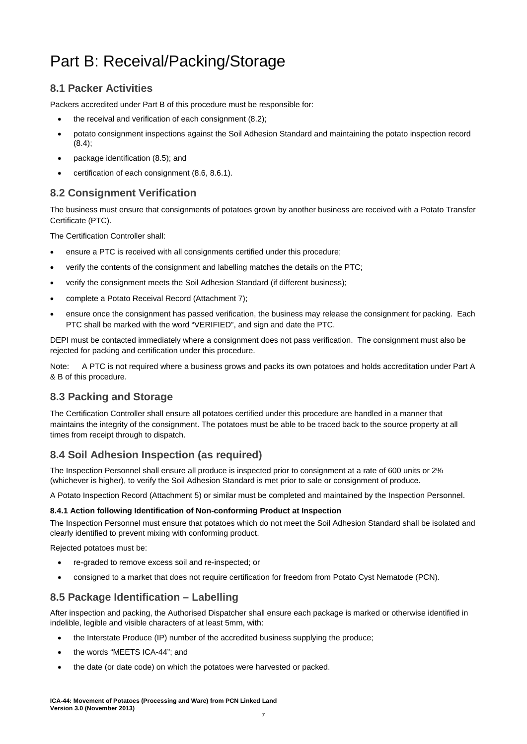# <span id="page-8-0"></span>Part B: Receival/Packing/Storage

# <span id="page-8-1"></span>**8.1 Packer Activities**

Packers accredited under Part B of this procedure must be responsible for:

- the receival and verification of each consignment (8.2);
- potato consignment inspections against the Soil Adhesion Standard and maintaining the potato inspection record (8.4);
- package identification (8.5); and
- certification of each consignment (8.6, 8.6.1).

# <span id="page-8-2"></span>**8.2 Consignment Verification**

The business must ensure that consignments of potatoes grown by another business are received with a Potato Transfer Certificate (PTC).

The Certification Controller shall:

- ensure a PTC is received with all consignments certified under this procedure;
- verify the contents of the consignment and labelling matches the details on the PTC;
- verify the consignment meets the Soil Adhesion Standard (if different business);
- complete a Potato Receival Record (Attachment 7);
- ensure once the consignment has passed verification, the business may release the consignment for packing. Each PTC shall be marked with the word "VERIFIED", and sign and date the PTC.

DEPI must be contacted immediately where a consignment does not pass verification. The consignment must also be rejected for packing and certification under this procedure.

Note: A PTC is not required where a business grows and packs its own potatoes and holds accreditation under Part A & B of this procedure.

## <span id="page-8-3"></span>**8.3 Packing and Storage**

The Certification Controller shall ensure all potatoes certified under this procedure are handled in a manner that maintains the integrity of the consignment. The potatoes must be able to be traced back to the source property at all times from receipt through to dispatch.

# <span id="page-8-4"></span>**8.4 Soil Adhesion Inspection (as required)**

The Inspection Personnel shall ensure all produce is inspected prior to consignment at a rate of 600 units or 2% (whichever is higher), to verify the Soil Adhesion Standard is met prior to sale or consignment of produce.

A Potato Inspection Record (Attachment 5) or similar must be completed and maintained by the Inspection Personnel.

#### **8.4.1 Action following Identification of Non-conforming Product at Inspection**

The Inspection Personnel must ensure that potatoes which do not meet the Soil Adhesion Standard shall be isolated and clearly identified to prevent mixing with conforming product.

Rejected potatoes must be:

- re-graded to remove excess soil and re-inspected; or
- consigned to a market that does not require certification for freedom from Potato Cyst Nematode (PCN).

## <span id="page-8-5"></span>**8.5 Package Identification – Labelling**

After inspection and packing, the Authorised Dispatcher shall ensure each package is marked or otherwise identified in indelible, legible and visible characters of at least 5mm, with:

- the Interstate Produce (IP) number of the accredited business supplying the produce;
- the words "MEETS ICA-44"; and
- the date (or date code) on which the potatoes were harvested or packed.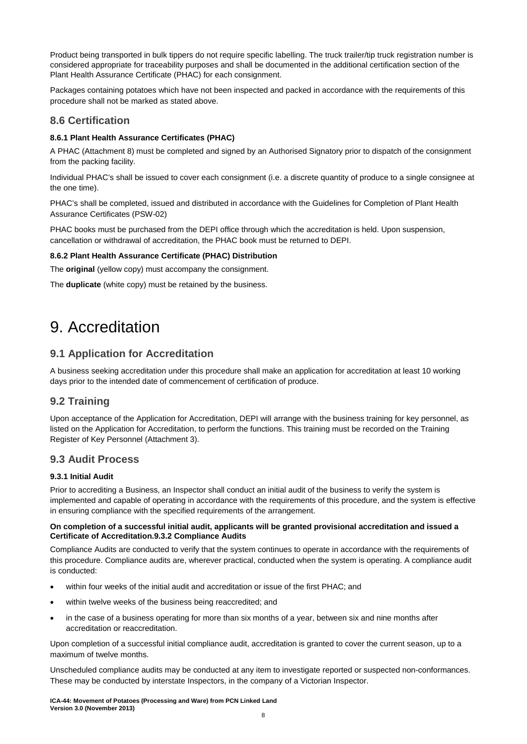Product being transported in bulk tippers do not require specific labelling. The truck trailer/tip truck registration number is considered appropriate for traceability purposes and shall be documented in the additional certification section of the Plant Health Assurance Certificate (PHAC) for each consignment.

Packages containing potatoes which have not been inspected and packed in accordance with the requirements of this procedure shall not be marked as stated above.

### <span id="page-9-0"></span>**8.6 Certification**

### **8.6.1 Plant Health Assurance Certificates (PHAC)**

A PHAC (Attachment 8) must be completed and signed by an Authorised Signatory prior to dispatch of the consignment from the packing facility.

Individual PHAC's shall be issued to cover each consignment (i.e. a discrete quantity of produce to a single consignee at the one time).

PHAC's shall be completed, issued and distributed in accordance with the Guidelines for Completion of Plant Health Assurance Certificates (PSW-02)

PHAC books must be purchased from the DEPI office through which the accreditation is held. Upon suspension, cancellation or withdrawal of accreditation, the PHAC book must be returned to DEPI.

#### **8.6.2 Plant Health Assurance Certificate (PHAC) Distribution**

The **original** (yellow copy) must accompany the consignment.

The **duplicate** (white copy) must be retained by the business.

# <span id="page-9-1"></span>9. Accreditation

### <span id="page-9-2"></span>**9.1 Application for Accreditation**

A business seeking accreditation under this procedure shall make an application for accreditation at least 10 working days prior to the intended date of commencement of certification of produce.

### <span id="page-9-3"></span>**9.2 Training**

Upon acceptance of the Application for Accreditation, DEPI will arrange with the business training for key personnel, as listed on the Application for Accreditation, to perform the functions. This training must be recorded on the Training Register of Key Personnel (Attachment 3).

### <span id="page-9-4"></span>**9.3 Audit Process**

#### **9.3.1 Initial Audit**

Prior to accrediting a Business, an Inspector shall conduct an initial audit of the business to verify the system is implemented and capable of operating in accordance with the requirements of this procedure, and the system is effective in ensuring compliance with the specified requirements of the arrangement.

#### **On completion of a successful initial audit, applicants will be granted provisional accreditation and issued a Certificate of Accreditation.9.3.2 Compliance Audits**

Compliance Audits are conducted to verify that the system continues to operate in accordance with the requirements of this procedure. Compliance audits are, wherever practical, conducted when the system is operating. A compliance audit is conducted:

- within four weeks of the initial audit and accreditation or issue of the first PHAC; and
- within twelve weeks of the business being reaccredited; and
- in the case of a business operating for more than six months of a year, between six and nine months after accreditation or reaccreditation.

Upon completion of a successful initial compliance audit, accreditation is granted to cover the current season, up to a maximum of twelve months.

Unscheduled compliance audits may be conducted at any item to investigate reported or suspected non-conformances. These may be conducted by interstate Inspectors, in the company of a Victorian Inspector.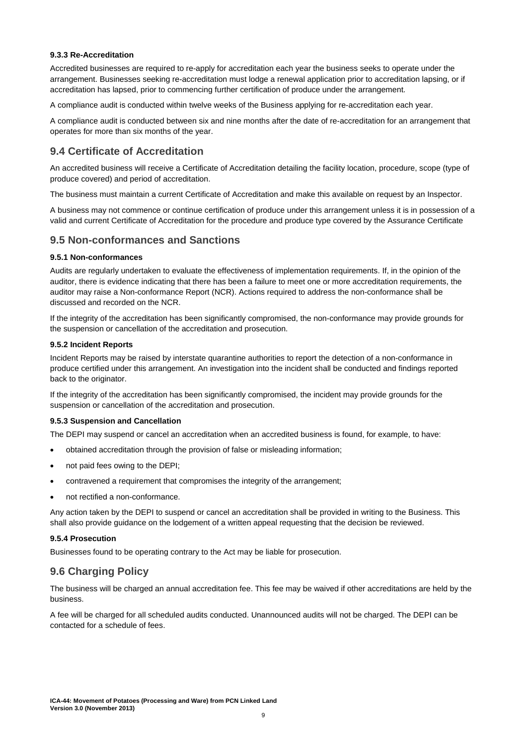#### **9.3.3 Re-Accreditation**

Accredited businesses are required to re-apply for accreditation each year the business seeks to operate under the arrangement. Businesses seeking re-accreditation must lodge a renewal application prior to accreditation lapsing, or if accreditation has lapsed, prior to commencing further certification of produce under the arrangement.

A compliance audit is conducted within twelve weeks of the Business applying for re-accreditation each year.

A compliance audit is conducted between six and nine months after the date of re-accreditation for an arrangement that operates for more than six months of the year.

### <span id="page-10-0"></span>**9.4 Certificate of Accreditation**

An accredited business will receive a Certificate of Accreditation detailing the facility location, procedure, scope (type of produce covered) and period of accreditation.

The business must maintain a current Certificate of Accreditation and make this available on request by an Inspector.

A business may not commence or continue certification of produce under this arrangement unless it is in possession of a valid and current Certificate of Accreditation for the procedure and produce type covered by the Assurance Certificate

### <span id="page-10-1"></span>**9.5 Non-conformances and Sanctions**

#### **9.5.1 Non-conformances**

Audits are regularly undertaken to evaluate the effectiveness of implementation requirements. If, in the opinion of the auditor, there is evidence indicating that there has been a failure to meet one or more accreditation requirements, the auditor may raise a Non-conformance Report (NCR). Actions required to address the non-conformance shall be discussed and recorded on the NCR.

If the integrity of the accreditation has been significantly compromised, the non-conformance may provide grounds for the suspension or cancellation of the accreditation and prosecution.

#### **9.5.2 Incident Reports**

Incident Reports may be raised by interstate quarantine authorities to report the detection of a non-conformance in produce certified under this arrangement. An investigation into the incident shall be conducted and findings reported back to the originator.

If the integrity of the accreditation has been significantly compromised, the incident may provide grounds for the suspension or cancellation of the accreditation and prosecution.

#### **9.5.3 Suspension and Cancellation**

The DEPI may suspend or cancel an accreditation when an accredited business is found, for example, to have:

- obtained accreditation through the provision of false or misleading information;
- not paid fees owing to the DEPI;
- contravened a requirement that compromises the integrity of the arrangement;
- not rectified a non-conformance.

Any action taken by the DEPI to suspend or cancel an accreditation shall be provided in writing to the Business. This shall also provide guidance on the lodgement of a written appeal requesting that the decision be reviewed.

#### **9.5.4 Prosecution**

Businesses found to be operating contrary to the Act may be liable for prosecution.

### <span id="page-10-2"></span>**9.6 Charging Policy**

The business will be charged an annual accreditation fee. This fee may be waived if other accreditations are held by the business.

A fee will be charged for all scheduled audits conducted. Unannounced audits will not be charged. The DEPI can be contacted for a schedule of fees.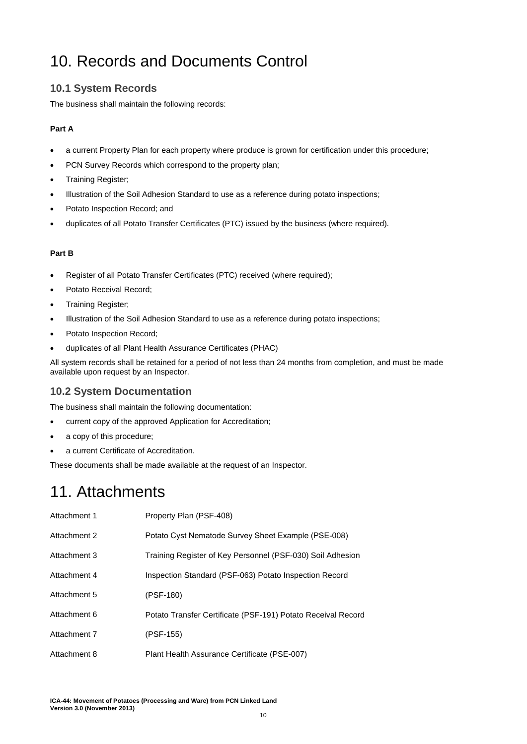# <span id="page-11-0"></span>10. Records and Documents Control

# <span id="page-11-1"></span>**10.1 System Records**

The business shall maintain the following records:

### **Part A**

- a current Property Plan for each property where produce is grown for certification under this procedure;
- PCN Survey Records which correspond to the property plan;
- Training Register;
- Illustration of the Soil Adhesion Standard to use as a reference during potato inspections;
- Potato Inspection Record; and
- duplicates of all Potato Transfer Certificates (PTC) issued by the business (where required).

### **Part B**

- Register of all Potato Transfer Certificates (PTC) received (where required);
- Potato Receival Record;
- Training Register;
- Illustration of the Soil Adhesion Standard to use as a reference during potato inspections;
- Potato Inspection Record;
- duplicates of all Plant Health Assurance Certificates (PHAC)

All system records shall be retained for a period of not less than 24 months from completion, and must be made available upon request by an Inspector.

# <span id="page-11-2"></span>**10.2 System Documentation**

The business shall maintain the following documentation:

- current copy of the approved Application for Accreditation;
- a copy of this procedure;
- a current Certificate of Accreditation.

These documents shall be made available at the request of an Inspector.

# <span id="page-11-3"></span>11. Attachments

| Attachment 1 | Property Plan (PSF-408)                                      |
|--------------|--------------------------------------------------------------|
| Attachment 2 | Potato Cyst Nematode Survey Sheet Example (PSE-008)          |
| Attachment 3 | Training Register of Key Personnel (PSF-030) Soil Adhesion   |
| Attachment 4 | Inspection Standard (PSF-063) Potato Inspection Record       |
| Attachment 5 | (PSF-180)                                                    |
| Attachment 6 | Potato Transfer Certificate (PSF-191) Potato Receival Record |
| Attachment 7 | (PSF-155)                                                    |
| Attachment 8 | Plant Health Assurance Certificate (PSE-007)                 |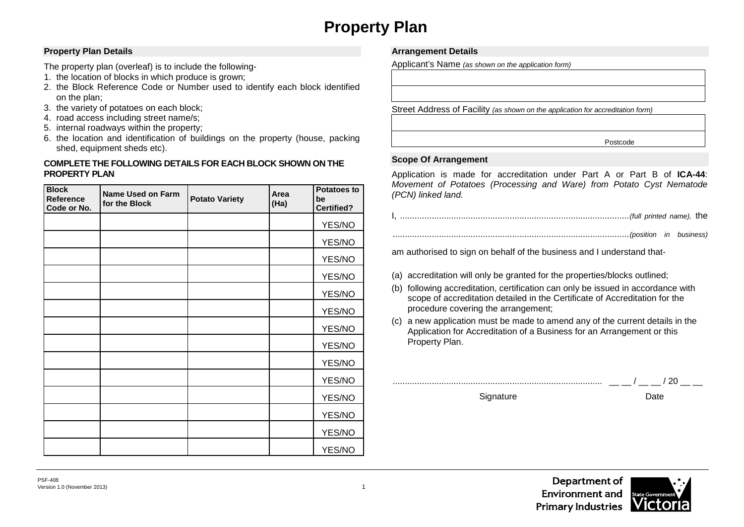# **Property Plan**

### **Property Plan Details**

The property plan (overleaf) is to include the following-

- 1. the location of blocks in which produce is grown;
- 2. the Block Reference Code or Number used to identify each block identified on the plan;
- 3. the variety of potatoes on each block;
- 4. road access including street name/s;
- 5. internal roadways within the property;
- 6. the location and identification of buildings on the property (house, packing shed, equipment sheds etc).

### **COMPLETE THE FOLLOWING DETAILS FOR EACH BLOCK SHOWN ON THE PROPERTY PLAN**

| <b>Block</b><br>Reference<br>Code or No. | <b>Name Used on Farm</b><br>for the Block | <b>Potato Variety</b> | Area<br>(Ha) | <b>Potatoes to</b><br>be<br><b>Certified?</b> |
|------------------------------------------|-------------------------------------------|-----------------------|--------------|-----------------------------------------------|
|                                          |                                           |                       |              | YES/NO                                        |
|                                          |                                           |                       |              | YES/NO                                        |
|                                          |                                           |                       |              | YES/NO                                        |
|                                          |                                           |                       |              | YES/NO                                        |
|                                          |                                           |                       |              | YES/NO                                        |
|                                          |                                           |                       |              | YES/NO                                        |
|                                          |                                           |                       |              | YES/NO                                        |
|                                          |                                           |                       |              | YES/NO                                        |
|                                          |                                           |                       |              | YES/NO                                        |
|                                          |                                           |                       |              | YES/NO                                        |
|                                          |                                           |                       |              | YES/NO                                        |
|                                          |                                           |                       |              | YES/NO                                        |
|                                          |                                           |                       |              | YES/NO                                        |
|                                          |                                           |                       |              | YES/NO                                        |

### **Arrangement Details**

Applicant's Name *(as shown on the application form)*

Street Address of Facility *(as shown on the application for accreditation form)*

Postcode

### **Scope Of Arrangement**

Application is made for accreditation under Part A or Part B of **ICA-44**: *Movement of Potatoes (Processing and Ware) from Potato Cyst Nematode (PCN) linked land.*

|--|--|--|--|--|

................................................................................................. *(position in business)* 

am authorised to sign on behalf of the business and I understand that-

- (a) accreditation will only be granted for the properties/blocks outlined;
- (b) following accreditation, certification can only be issued in accordance with scope of accreditation detailed in the Certificate of Accreditation for the procedure covering the arrangement;
- (c) a new application must be made to amend any of the current details in the Application for Accreditation of a Business for an Arrangement or this Property Plan.



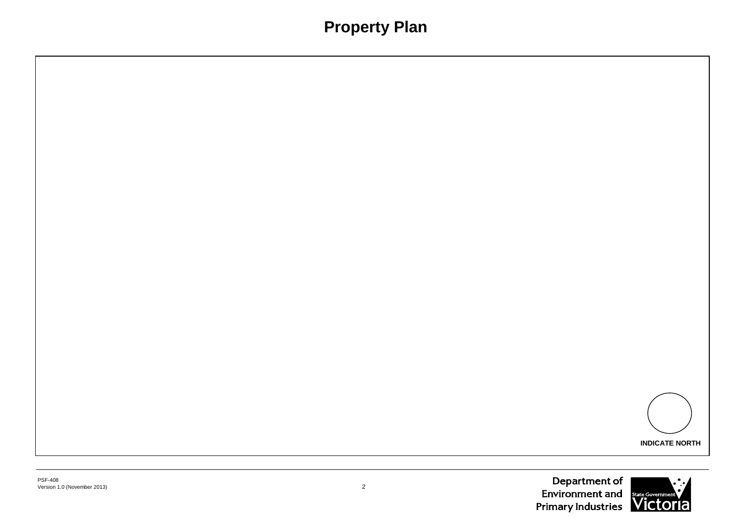# **Property Plan**



la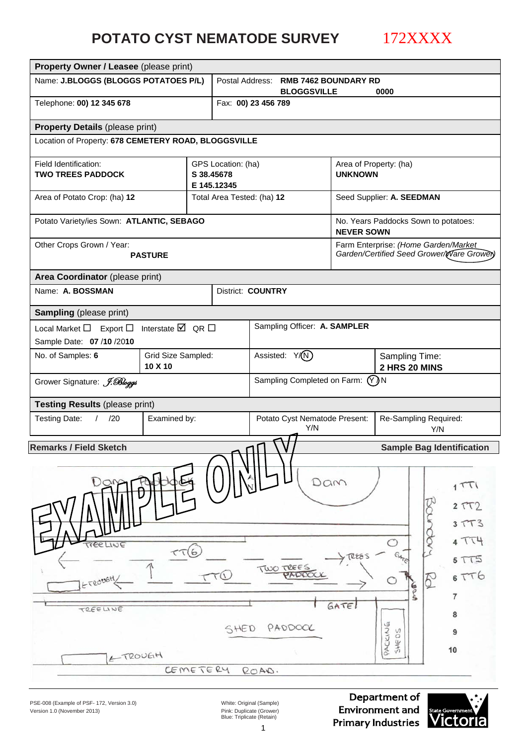# **POTATO CYST NEMATODE SURVEY**

172XXXX

| Property Owner / Leasee (please print)               |                                     |                           |                    |                                      |                             |                                 |                                                                                   |  |
|------------------------------------------------------|-------------------------------------|---------------------------|--------------------|--------------------------------------|-----------------------------|---------------------------------|-----------------------------------------------------------------------------------|--|
| Name: J.BLOGGS (BLOGGS POTATOES P/L)                 |                                     |                           | Postal Address:    | <b>BLOGGSVILLE</b>                   | <b>RMB 7462 BOUNDARY RD</b> | 0000                            |                                                                                   |  |
| Telephone: 00) 12 345 678                            |                                     |                           |                    | Fax: 00) 23 456 789                  |                             |                                 |                                                                                   |  |
| <b>Property Details (please print)</b>               |                                     |                           |                    |                                      |                             |                                 |                                                                                   |  |
| Location of Property: 678 CEMETERY ROAD, BLOGGSVILLE |                                     |                           |                    |                                      |                             |                                 |                                                                                   |  |
| Field Identification:                                |                                     |                           | GPS Location: (ha) |                                      |                             | Area of Property: (ha)          |                                                                                   |  |
| <b>TWO TREES PADDOCK</b>                             |                                     | S 38.45678<br>E 145.12345 |                    |                                      | <b>UNKNOWN</b>              |                                 |                                                                                   |  |
| Area of Potato Crop: (ha) 12                         |                                     |                           |                    | Total Area Tested: (ha) 12           |                             | Seed Supplier: A. SEEDMAN       |                                                                                   |  |
| Potato Variety/ies Sown: ATLANTIC, SEBAGO            |                                     |                           |                    |                                      | <b>NEVER SOWN</b>           |                                 | No. Years Paddocks Sown to potatoes:                                              |  |
| Other Crops Grown / Year:                            | <b>PASTURE</b>                      |                           |                    |                                      |                             |                                 | Farm Enterprise: (Home Garden/Market<br>Garden/Certified Seed Grower/Ware Grower) |  |
| Area Coordinator (please print)                      |                                     |                           |                    |                                      |                             |                                 |                                                                                   |  |
| Name: A. BOSSMAN                                     |                                     |                           |                    | District: COUNTRY                    |                             |                                 |                                                                                   |  |
| <b>Sampling</b> (please print)                       |                                     |                           |                    |                                      |                             |                                 |                                                                                   |  |
| Export $\square$<br>Local Market $\Box$              | Interstate $\boxtimes$ QR $\square$ |                           |                    | Sampling Officer: A. SAMPLER         |                             |                                 |                                                                                   |  |
| Sample Date: 07 /10 /2010                            |                                     |                           |                    |                                      |                             |                                 |                                                                                   |  |
| No. of Samples: 6                                    | Grid Size Sampled:<br>10 X 10       |                           |                    | Assisted: Y/(N)                      |                             | Sampling Time:<br>2 HRS 20 MINS |                                                                                   |  |
| Grower Signature: J. Bloggs                          |                                     |                           |                    | Sampling Completed on Farm: (Y) N    |                             |                                 |                                                                                   |  |
| <b>Testing Results (please print)</b>                |                                     |                           |                    |                                      |                             |                                 |                                                                                   |  |
| <b>Testing Date:</b><br>$\sqrt{2}$<br>/20            | Examined by:                        |                           |                    | Potato Cyst Nematode Present:<br>Y/N |                             |                                 | Re-Sampling Required:<br>Y/N                                                      |  |
| <b>Remarks / Field Sketch</b>                        |                                     |                           |                    |                                      |                             |                                 | <b>Sample Bag Identification</b>                                                  |  |
|                                                      |                                     |                           |                    |                                      |                             |                                 |                                                                                   |  |
|                                                      |                                     |                           |                    |                                      |                             |                                 |                                                                                   |  |
| DOM                                                  |                                     |                           |                    |                                      | Dam                         |                                 | 1TTI                                                                              |  |
|                                                      |                                     |                           |                    |                                      |                             |                                 | 2TT2                                                                              |  |
|                                                      |                                     |                           |                    |                                      |                             |                                 | 3TT3                                                                              |  |
|                                                      |                                     |                           |                    |                                      |                             | O                               | 4TT4                                                                              |  |
| TTEELINE                                             | $\tau\tau$ 6                        |                           |                    |                                      | TREES                       |                                 | 5T15                                                                              |  |
| ETROUGH,                                             |                                     | TTU                       |                    | TWO TREES                            |                             |                                 | 6TT6<br>₫                                                                         |  |
|                                                      |                                     |                           |                    |                                      |                             | <b>G</b>                        | 7                                                                                 |  |
| TREELINE                                             |                                     |                           |                    |                                      | GATE                        |                                 | 8                                                                                 |  |
|                                                      |                                     |                           | SHED               | PADDOCK                              |                             |                                 | 9                                                                                 |  |
|                                                      |                                     |                           |                    |                                      |                             | PACKING<br>SHEDS                | 10                                                                                |  |
| ETROUGH                                              |                                     |                           |                    |                                      |                             |                                 |                                                                                   |  |
|                                                      | CEMETERY                            |                           |                    | ROAD.                                |                             |                                 |                                                                                   |  |

PSE-008 (Example of PSF- 172, Version 3.0) White: Original (Sample) Version 1.0 (November 2013)

Pink: Duplicate (Grower)<br>Blue: Triplicate (Retain)

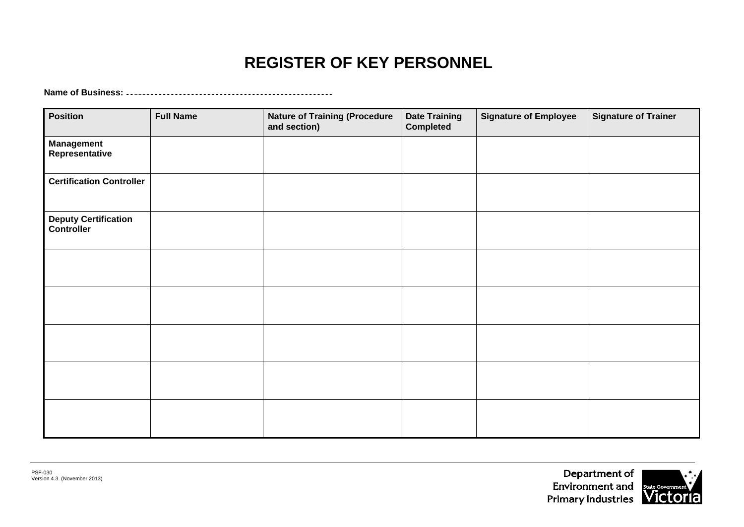# **REGISTER OF KEY PERSONNEL**

**Name of Business:** 

| <b>Position</b>                           | <b>Full Name</b> | <b>Nature of Training (Procedure</b><br>and section) | <b>Date Training</b><br><b>Completed</b> | <b>Signature of Employee</b> | <b>Signature of Trainer</b> |
|-------------------------------------------|------------------|------------------------------------------------------|------------------------------------------|------------------------------|-----------------------------|
| <b>Management</b><br>Representative       |                  |                                                      |                                          |                              |                             |
| <b>Certification Controller</b>           |                  |                                                      |                                          |                              |                             |
| <b>Deputy Certification</b><br>Controller |                  |                                                      |                                          |                              |                             |
|                                           |                  |                                                      |                                          |                              |                             |
|                                           |                  |                                                      |                                          |                              |                             |
|                                           |                  |                                                      |                                          |                              |                             |
|                                           |                  |                                                      |                                          |                              |                             |
|                                           |                  |                                                      |                                          |                              |                             |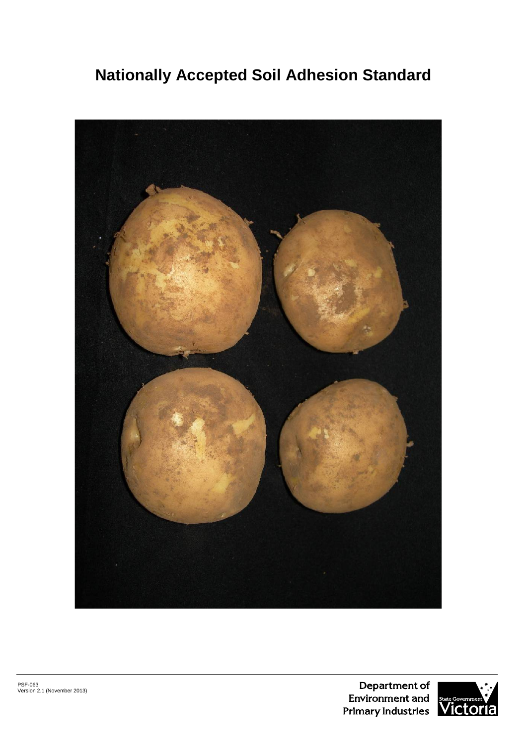# **Nationally Accepted Soil Adhesion Standard**

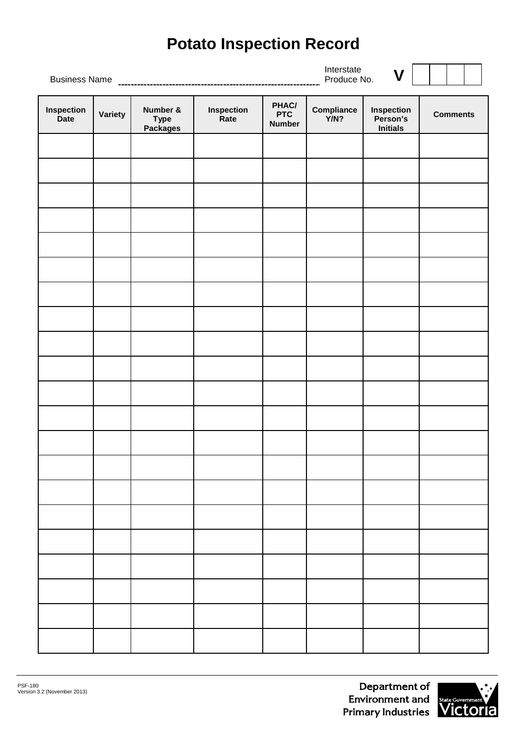# **Potato Inspection Record**

Interstate

Business Name Produce No. **V Inspection Variety Number & Type Packages Inspection Rate PHAC/ PTC Number Compliance Y/N? Inspection Person's Initials Comments**

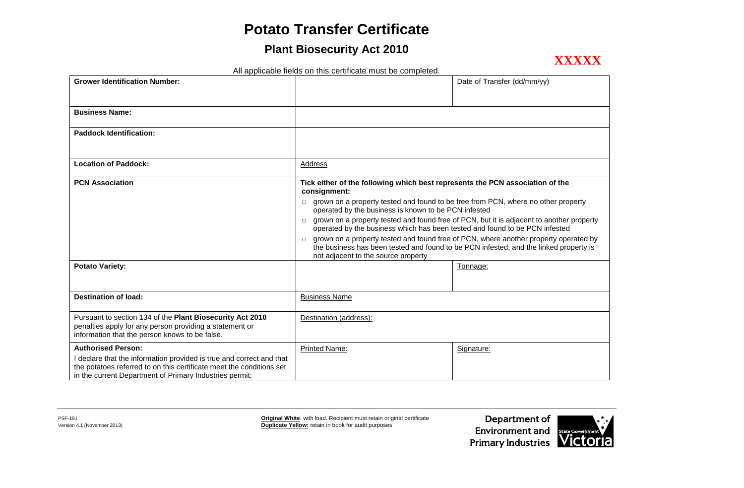# **Potato Transfer Certificate**

# **Plant Biosecurity Act 2010**



All applicable fields on this certificate must be completed.

| <b>Grower Identification Number:</b>                                                                                                                                                                                                 |                                                                                                                                                  | Date of Transfer (dd/mm/yy)                                                              |
|--------------------------------------------------------------------------------------------------------------------------------------------------------------------------------------------------------------------------------------|--------------------------------------------------------------------------------------------------------------------------------------------------|------------------------------------------------------------------------------------------|
| <b>Business Name:</b>                                                                                                                                                                                                                |                                                                                                                                                  |                                                                                          |
| <b>Paddock Identification:</b>                                                                                                                                                                                                       |                                                                                                                                                  |                                                                                          |
| <b>Location of Paddock:</b>                                                                                                                                                                                                          | Address                                                                                                                                          |                                                                                          |
| <b>PCN Association</b>                                                                                                                                                                                                               | Tick either of the following which best represents the PCN association of the<br>consignment:                                                    |                                                                                          |
|                                                                                                                                                                                                                                      | $\Box$ grown on a property tested and found to be free from PCN, where no other property<br>operated by the business is known to be PCN infested |                                                                                          |
|                                                                                                                                                                                                                                      | $\Box$<br>operated by the business which has been tested and found to be PCN infested                                                            | grown on a property tested and found free of PCN, but it is adjacent to another property |
|                                                                                                                                                                                                                                      | $\Box$ grown on a property tested and found free of PCN, where another property operated by<br>not adjacent to the source property               | the business has been tested and found to be PCN infested, and the linked property is    |
| <b>Potato Variety:</b>                                                                                                                                                                                                               |                                                                                                                                                  | Tonnage:                                                                                 |
| Destination of load:                                                                                                                                                                                                                 | <b>Business Name</b>                                                                                                                             |                                                                                          |
| Pursuant to section 134 of the Plant Biosecurity Act 2010<br>penalties apply for any person providing a statement or<br>information that the person knows to be false.                                                               | Destination (address):                                                                                                                           |                                                                                          |
| <b>Authorised Person:</b><br>I declare that the information provided is true and correct and that<br>the potatoes referred to on this certificate meet the conditions set<br>in the current Department of Primary Industries permit: | <b>Printed Name:</b>                                                                                                                             | Signature:                                                                               |

PSF-191<br>
Version 4.1 (November 2013)<br>
Version 4.1 (November 2013)<br>
Version 4.1 (November 2013) **Duplicate Yellow:** retain in book for audit purposes

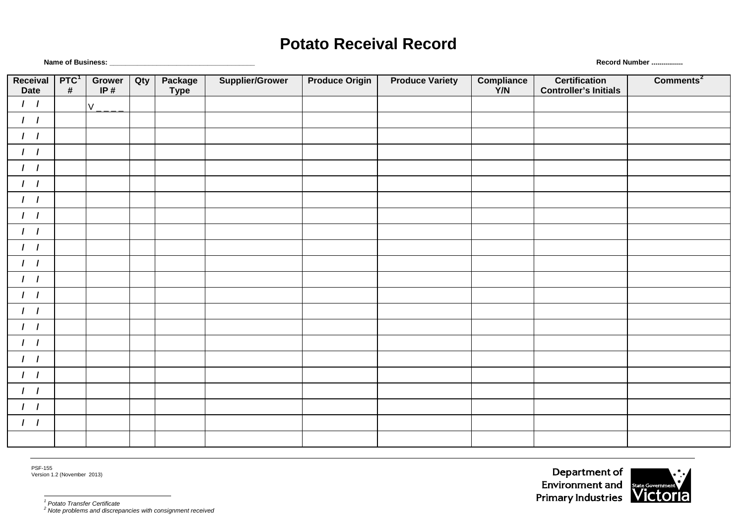# **Potato Receival Record**

Version 1.2 (November 2013)

PSF-155

*<sup>2</sup> Note problems and discrepancies with consignment received*

**Name of Business: \_\_\_\_\_\_\_\_\_\_\_\_\_\_\_\_\_\_\_\_\_\_\_\_\_\_\_\_\_\_\_\_\_\_\_\_\_ Record Number ................**

| Receival<br>Date | PTC <sup>1</sup><br>$\#$ | Grower<br>IP $#$ | Qty | Package<br><b>Type</b> | <b>Supplier/Grower</b> | <b>Produce Origin</b> | <b>Produce Variety</b> | Compliance<br>Y/N | <b>Certification</b><br><b>Controller's Initials</b> | Comments <sup>2</sup> |
|------------------|--------------------------|------------------|-----|------------------------|------------------------|-----------------------|------------------------|-------------------|------------------------------------------------------|-----------------------|
| 1 <sub>1</sub>   |                          | $V_{-}$          |     |                        |                        |                       |                        |                   |                                                      |                       |
| $1 \quad 1$      |                          |                  |     |                        |                        |                       |                        |                   |                                                      |                       |
| 1 <sub>1</sub>   |                          |                  |     |                        |                        |                       |                        |                   |                                                      |                       |
| $1 \quad 1$      |                          |                  |     |                        |                        |                       |                        |                   |                                                      |                       |
| $1 \quad 1$      |                          |                  |     |                        |                        |                       |                        |                   |                                                      |                       |
| 1 <sub>1</sub>   |                          |                  |     |                        |                        |                       |                        |                   |                                                      |                       |
| $1 \quad 1$      |                          |                  |     |                        |                        |                       |                        |                   |                                                      |                       |
| 1 <sub>1</sub>   |                          |                  |     |                        |                        |                       |                        |                   |                                                      |                       |
| 1 <sub>1</sub>   |                          |                  |     |                        |                        |                       |                        |                   |                                                      |                       |
| $1 \quad 1$      |                          |                  |     |                        |                        |                       |                        |                   |                                                      |                       |
| 1 <sub>1</sub>   |                          |                  |     |                        |                        |                       |                        |                   |                                                      |                       |
| 1 <sub>1</sub>   |                          |                  |     |                        |                        |                       |                        |                   |                                                      |                       |
| $1 \quad 1$      |                          |                  |     |                        |                        |                       |                        |                   |                                                      |                       |
| 1 <sub>1</sub>   |                          |                  |     |                        |                        |                       |                        |                   |                                                      |                       |
| 1 <sub>1</sub>   |                          |                  |     |                        |                        |                       |                        |                   |                                                      |                       |
| $1 \quad 1$      |                          |                  |     |                        |                        |                       |                        |                   |                                                      |                       |
| 1 <sub>1</sub>   |                          |                  |     |                        |                        |                       |                        |                   |                                                      |                       |
| 1 <sub>1</sub>   |                          |                  |     |                        |                        |                       |                        |                   |                                                      |                       |
| $1 \quad 1$      |                          |                  |     |                        |                        |                       |                        |                   |                                                      |                       |
| 1 <sub>1</sub>   |                          |                  |     |                        |                        |                       |                        |                   |                                                      |                       |
| $1 \quad 1$      |                          |                  |     |                        |                        |                       |                        |                   |                                                      |                       |
|                  |                          |                  |     |                        |                        |                       |                        |                   |                                                      |                       |

Department of Environment and State Government



<span id="page-19-1"></span><span id="page-19-0"></span>